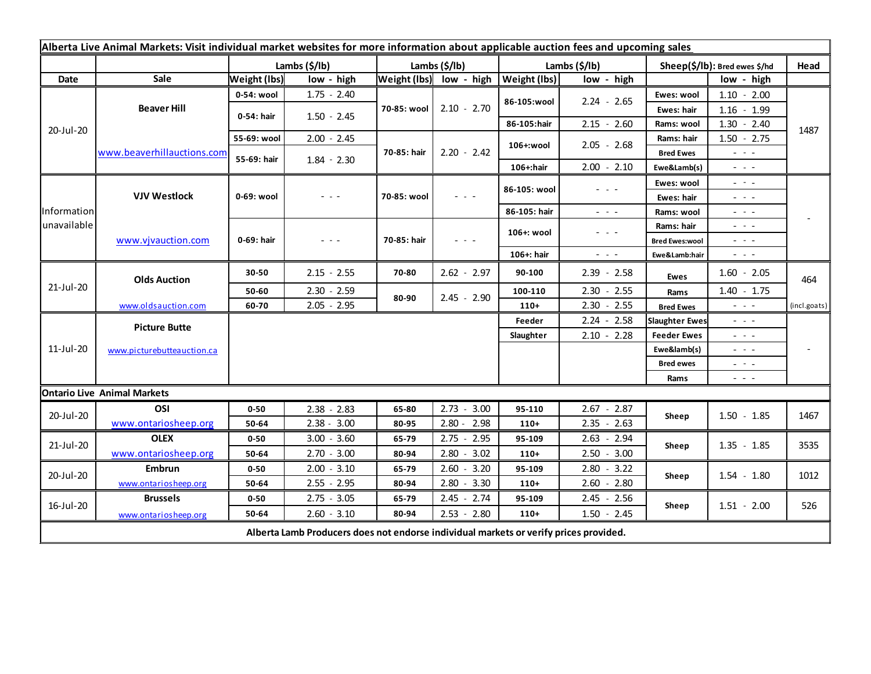| Alberta Live Animal Markets: Visit individual market websites for more information about applicable auction fees and upcoming sales |                                    |                     |               |               |                         |               |                                                                                                                           |                               |                                                                                                                                                                                                                                                                                                                                                                                                                                                |              |
|-------------------------------------------------------------------------------------------------------------------------------------|------------------------------------|---------------------|---------------|---------------|-------------------------|---------------|---------------------------------------------------------------------------------------------------------------------------|-------------------------------|------------------------------------------------------------------------------------------------------------------------------------------------------------------------------------------------------------------------------------------------------------------------------------------------------------------------------------------------------------------------------------------------------------------------------------------------|--------------|
|                                                                                                                                     |                                    | Lambs (\$/lb)       |               | Lambs (\$/lb) |                         | Lambs (\$/lb) |                                                                                                                           | Sheep(\$/lb): Bred ewes \$/hd |                                                                                                                                                                                                                                                                                                                                                                                                                                                | Head         |
| Date                                                                                                                                | Sale                               | <b>Weight (lbs)</b> | low - high    |               | Weight (lbs) low - high | Weight (lbs)  | low - high                                                                                                                |                               | low - high                                                                                                                                                                                                                                                                                                                                                                                                                                     |              |
| 20-Jul-20                                                                                                                           | <b>Beaver Hill</b>                 | 0-54: wool          | $1.75 - 2.40$ | 70-85: wool   | $2.10 - 2.70$           | 86-105:wool   | $2.24 - 2.65$                                                                                                             | Ewes: wool                    | $1.10 - 2.00$                                                                                                                                                                                                                                                                                                                                                                                                                                  |              |
|                                                                                                                                     |                                    | 0-54: hair          | $1.50 - 2.45$ |               |                         |               |                                                                                                                           | Ewes: hair                    | $1.16 - 1.99$                                                                                                                                                                                                                                                                                                                                                                                                                                  |              |
|                                                                                                                                     |                                    |                     |               |               |                         | 86-105:hair   | $2.15 - 2.60$                                                                                                             | Rams: wool                    | $1.30 - 2.40$                                                                                                                                                                                                                                                                                                                                                                                                                                  | 1487         |
|                                                                                                                                     | www.beaverhillauctions.com         | 55-69: wool         | $2.00 - 2.45$ | 70-85: hair   | $2.20 - 2.42$           | 106+:wool     | $2.05 - 2.68$                                                                                                             | Rams: hair                    | $1.50 - 2.75$                                                                                                                                                                                                                                                                                                                                                                                                                                  |              |
|                                                                                                                                     |                                    | 55-69: hair         | $1.84 - 2.30$ |               |                         |               |                                                                                                                           | <b>Bred Ewes</b>              | - - -                                                                                                                                                                                                                                                                                                                                                                                                                                          |              |
|                                                                                                                                     |                                    |                     |               |               |                         | $106+$ : hair | $2.00 - 2.10$                                                                                                             | Ewe&Lamb(s)                   | $  -$                                                                                                                                                                                                                                                                                                                                                                                                                                          |              |
| Information<br>unavailable                                                                                                          | <b>VJV Westlock</b>                | 0-69: wool          | - - -         | 70-85: wool   | $  -$                   | 86-105: wool  | - - -                                                                                                                     | Ewes: wool                    | $\sim$ $\sim$ $\sim$                                                                                                                                                                                                                                                                                                                                                                                                                           |              |
|                                                                                                                                     |                                    |                     |               |               |                         |               |                                                                                                                           | Ewes: hair                    | $\frac{1}{2} \left( \frac{1}{2} \right) = \frac{1}{2} \left( \frac{1}{2} \right)$                                                                                                                                                                                                                                                                                                                                                              |              |
|                                                                                                                                     |                                    |                     |               |               |                         | 86-105: hair  | $\frac{1}{2} \left( \frac{1}{2} \right) \left( \frac{1}{2} \right) \left( \frac{1}{2} \right) \left( \frac{1}{2} \right)$ | Rams: wool                    | $\frac{1}{2} \left( \frac{1}{2} \right) + \frac{1}{2} \left( \frac{1}{2} \right) + \frac{1}{2} \left( \frac{1}{2} \right) + \frac{1}{2} \left( \frac{1}{2} \right) + \frac{1}{2} \left( \frac{1}{2} \right) + \frac{1}{2} \left( \frac{1}{2} \right) + \frac{1}{2} \left( \frac{1}{2} \right) + \frac{1}{2} \left( \frac{1}{2} \right) + \frac{1}{2} \left( \frac{1}{2} \right) + \frac{1}{2} \left( \frac{1}{2} \right) + \frac{1}{2} \left($ |              |
|                                                                                                                                     | www.vjvauction.com                 | 0-69: hair          | - - -         | 70-85: hair   | - - -                   | 106+: wool    | - - -                                                                                                                     | Rams: hair                    | $\sim$ $\sim$ $\sim$                                                                                                                                                                                                                                                                                                                                                                                                                           |              |
|                                                                                                                                     |                                    |                     |               |               |                         |               |                                                                                                                           | <b>Bred Ewes:wool</b>         | $  -$                                                                                                                                                                                                                                                                                                                                                                                                                                          |              |
|                                                                                                                                     |                                    |                     |               |               |                         | 106+: hair    | $\frac{1}{2} \left( \frac{1}{2} \right) \left( \frac{1}{2} \right) \left( \frac{1}{2} \right)$                            | Ewe&Lamb:hair                 | $\frac{1}{2} \left( \frac{1}{2} \right) \left( \frac{1}{2} \right) \left( \frac{1}{2} \right)$                                                                                                                                                                                                                                                                                                                                                 |              |
| 21-Jul-20                                                                                                                           | <b>Olds Auction</b>                | 30-50               | $2.15 - 2.55$ | 70-80         | $2.62 - 2.97$           | 90-100        | $2.39 - 2.58$                                                                                                             | <b>Ewes</b>                   | $1.60 - 2.05$                                                                                                                                                                                                                                                                                                                                                                                                                                  | 464          |
|                                                                                                                                     |                                    | 50-60               | $2.30 - 2.59$ |               | $2.45 - 2.90$           | 100-110       | $2.30 - 2.55$                                                                                                             | Rams                          | $1.40 - 1.75$                                                                                                                                                                                                                                                                                                                                                                                                                                  |              |
|                                                                                                                                     | www.oldsauction.com                | 60-70               | $2.05 - 2.95$ | 80-90         |                         | $110+$        | $2.30 - 2.55$                                                                                                             | <b>Bred Ewes</b>              | $\frac{1}{2} \left( \frac{1}{2} \right) \left( \frac{1}{2} \right) \left( \frac{1}{2} \right)$                                                                                                                                                                                                                                                                                                                                                 | (incl.goats) |
| 11-Jul-20                                                                                                                           | <b>Picture Butte</b>               |                     |               |               |                         | Feeder        | $2.24 - 2.58$                                                                                                             | <b>Slaughter Ewes</b>         | $  -$                                                                                                                                                                                                                                                                                                                                                                                                                                          |              |
|                                                                                                                                     | www.picturebutteauction.ca         |                     |               |               |                         | Slaughter     | $2.10 - 2.28$                                                                                                             | <b>Feeder Ewes</b>            | $\frac{1}{2} \left( \frac{1}{2} \right) + \frac{1}{2} \left( \frac{1}{2} \right) + \frac{1}{2} \left( \frac{1}{2} \right) + \frac{1}{2} \left( \frac{1}{2} \right) + \frac{1}{2} \left( \frac{1}{2} \right) + \frac{1}{2} \left( \frac{1}{2} \right) + \frac{1}{2} \left( \frac{1}{2} \right) + \frac{1}{2} \left( \frac{1}{2} \right) + \frac{1}{2} \left( \frac{1}{2} \right) + \frac{1}{2} \left( \frac{1}{2} \right) + \frac{1}{2} \left($ |              |
|                                                                                                                                     |                                    |                     |               |               |                         |               |                                                                                                                           | Ewe&lamb(s)                   | - - -                                                                                                                                                                                                                                                                                                                                                                                                                                          |              |
|                                                                                                                                     |                                    |                     |               |               |                         |               |                                                                                                                           | <b>Bred ewes</b>              | $\frac{1}{2} \left( \begin{array}{ccc} 1 & 0 & 0 \\ 0 & 0 & 0 \\ 0 & 0 & 0 \end{array} \right) = \frac{1}{2} \left( \begin{array}{ccc} 1 & 0 & 0 \\ 0 & 0 & 0 \\ 0 & 0 & 0 \\ 0 & 0 & 0 \end{array} \right)$                                                                                                                                                                                                                                   |              |
|                                                                                                                                     |                                    |                     |               |               |                         |               |                                                                                                                           | Rams                          | $\frac{1}{2} \left( \frac{1}{2} \right) \frac{1}{2} \left( \frac{1}{2} \right) \frac{1}{2} \left( \frac{1}{2} \right)$                                                                                                                                                                                                                                                                                                                         |              |
|                                                                                                                                     | <b>Ontario Live Animal Markets</b> |                     |               |               |                         |               |                                                                                                                           |                               |                                                                                                                                                                                                                                                                                                                                                                                                                                                |              |
| 20-Jul-20                                                                                                                           | OSI                                | $0 - 50$            | $2.38 - 2.83$ | 65-80         | $2.73 - 3.00$           | 95-110        | $2.67 - 2.87$                                                                                                             | Sheep                         | $1.50 - 1.85$                                                                                                                                                                                                                                                                                                                                                                                                                                  | 1467         |
|                                                                                                                                     | www.ontariosheep.org               | 50-64               | $2.38 - 3.00$ | 80-95         | $2.80 - 2.98$           | $110+$        | $2.35 - 2.63$                                                                                                             |                               |                                                                                                                                                                                                                                                                                                                                                                                                                                                |              |
| 21-Jul-20                                                                                                                           | <b>OLEX</b>                        | $0 - 50$            | $3.00 - 3.60$ | 65-79         | $2.75 - 2.95$           | 95-109        | $2.63 - 2.94$                                                                                                             | Sheep                         | $1.35 - 1.85$                                                                                                                                                                                                                                                                                                                                                                                                                                  | 3535         |
|                                                                                                                                     | www.ontariosheep.org               | 50-64               | $2.70 - 3.00$ | 80-94         | $2.80 - 3.02$           | $110+$        | $2.50 - 3.00$                                                                                                             |                               |                                                                                                                                                                                                                                                                                                                                                                                                                                                |              |
| 20-Jul-20                                                                                                                           | Embrun                             | $0 - 50$            | $2.00 - 3.10$ | 65-79         | $2.60 - 3.20$           | 95-109        | $2.80 - 3.22$                                                                                                             | Sheep                         | $1.54 - 1.80$                                                                                                                                                                                                                                                                                                                                                                                                                                  | 1012         |
|                                                                                                                                     | www.ontariosheep.org               | 50-64               | $2.55 - 2.95$ | 80-94         | $2.80 - 3.30$           | $110+$        | $2.60 - 2.80$                                                                                                             |                               |                                                                                                                                                                                                                                                                                                                                                                                                                                                |              |
| 16-Jul-20                                                                                                                           | <b>Brussels</b>                    | $0 - 50$            | $2.75 - 3.05$ | 65-79         | $2.45 - 2.74$           | 95-109        | $2.45 - 2.56$                                                                                                             | Sheep                         | $1.51 - 2.00$                                                                                                                                                                                                                                                                                                                                                                                                                                  | 526          |
|                                                                                                                                     | www.ontariosheep.org               | 50-64               | $2.60 - 3.10$ | 80-94         | $2.53 - 2.80$           | $110+$        | $1.50 - 2.45$                                                                                                             |                               |                                                                                                                                                                                                                                                                                                                                                                                                                                                |              |
| Alberta Lamb Producers does not endorse individual markets or verify prices provided.                                               |                                    |                     |               |               |                         |               |                                                                                                                           |                               |                                                                                                                                                                                                                                                                                                                                                                                                                                                |              |